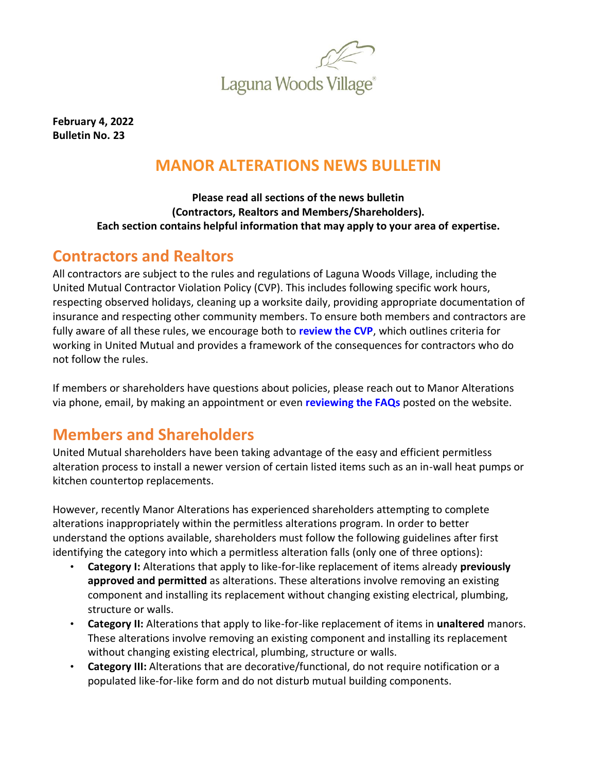

**February 4, 2022 Bulletin No. 23**

## **MANOR ALTERATIONS NEWS BULLETIN**

#### **Please read all sections of the news bulletin (Contractors, Realtors and Members/Shareholders). Each section contains helpful information that may apply to your area of expertise.**

#### **Contractors and Realtors**

All contractors are subject to the rules and regulations of Laguna Woods Village, including the United Mutual Contractor Violation Policy (CVP). This includes following specific work hours, respecting observed holidays, cleaning up a worksite daily, providing appropriate documentation of insurance and respecting other community members. To ensure both members and contractors are fully aware of all these rules, we encourage both to **[review the CVP](https://www.lagunawoodsvillage.com/documents/view/Contractor-Violation-Policy.pdf?v=1636501575)**, which outlines criteria for working in United Mutual and provides a framework of the consequences for contractors who do not follow the rules.

If members or shareholders have questions about policies, please reach out to Manor Alterations via phone, email, by making an appointment or even **[reviewing the FAQs](https://lagunawoodsvillage.com/documents/view/Manor-Alterations-FAQ.pdf?v=1630528269)** posted on the website.

## **Members and Shareholders**

United Mutual shareholders have been taking advantage of the easy and efficient permitless alteration process to install a newer version of certain listed items such as an in-wall heat pumps or kitchen countertop replacements.

However, recently Manor Alterations has experienced shareholders attempting to complete alterations inappropriately within the permitless alterations program. In order to better understand the options available, shareholders must follow the following guidelines after first identifying the category into which a permitless alteration falls (only one of three options):

- **Category I:** Alterations that apply to like-for-like replacement of items already **previously approved and permitted** as alterations. These alterations involve removing an existing component and installing its replacement without changing existing electrical, plumbing, structure or walls.
- **Category II:** Alterations that apply to like-for-like replacement of items in **unaltered** manors. These alterations involve removing an existing component and installing its replacement without changing existing electrical, plumbing, structure or walls.
- **Category III:** Alterations that are decorative/functional, do not require notification or a populated like-for-like form and do not disturb mutual building components.